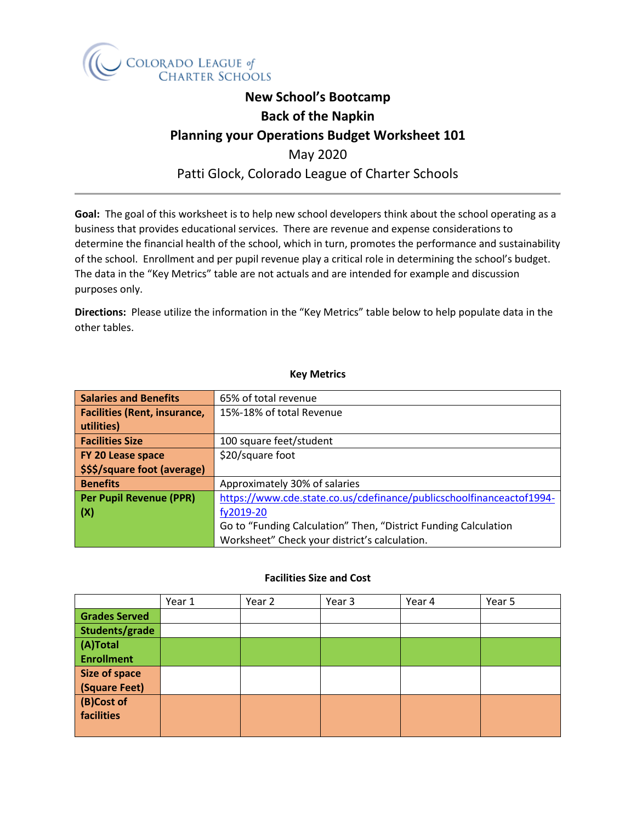

# **New School's Bootcamp Back of the Napkin Planning your Operations Budget Worksheet 101** May 2020 Patti Glock, Colorado League of Charter Schools

**Goal:** The goal of this worksheet is to help new school developers think about the school operating as a business that provides educational services. There are revenue and expense considerations to determine the financial health of the school, which in turn, promotes the performance and sustainability of the school. Enrollment and per pupil revenue play a critical role in determining the school's budget. The data in the "Key Metrics" table are not actuals and are intended for example and discussion purposes only.

**Directions:** Please utilize the information in the "Key Metrics" table below to help populate data in the other tables.

## **Key Metrics**

| <b>Salaries and Benefits</b>        | 65% of total revenue                                                 |
|-------------------------------------|----------------------------------------------------------------------|
| <b>Facilities (Rent, insurance,</b> | 15%-18% of total Revenue                                             |
| utilities)                          |                                                                      |
| <b>Facilities Size</b>              | 100 square feet/student                                              |
| FY 20 Lease space                   | \$20/square foot                                                     |
| <b>SSS/square foot (average)</b>    |                                                                      |
| <b>Benefits</b>                     | Approximately 30% of salaries                                        |
| Per Pupil Revenue (PPR)             | https://www.cde.state.co.us/cdefinance/publicschoolfinanceactof1994- |
| (x)                                 | fy2019-20                                                            |
|                                     | Go to "Funding Calculation" Then, "District Funding Calculation      |
|                                     | Worksheet" Check your district's calculation.                        |

#### **Facilities Size and Cost**

|                      | Year 1 | Year 2 | Year 3 | Year 4 | Year 5 |
|----------------------|--------|--------|--------|--------|--------|
| <b>Grades Served</b> |        |        |        |        |        |
| Students/grade       |        |        |        |        |        |
| (A)Total             |        |        |        |        |        |
| <b>Enrollment</b>    |        |        |        |        |        |
| <b>Size of space</b> |        |        |        |        |        |
| (Square Feet)        |        |        |        |        |        |
| (B)Cost of           |        |        |        |        |        |
| facilities           |        |        |        |        |        |
|                      |        |        |        |        |        |